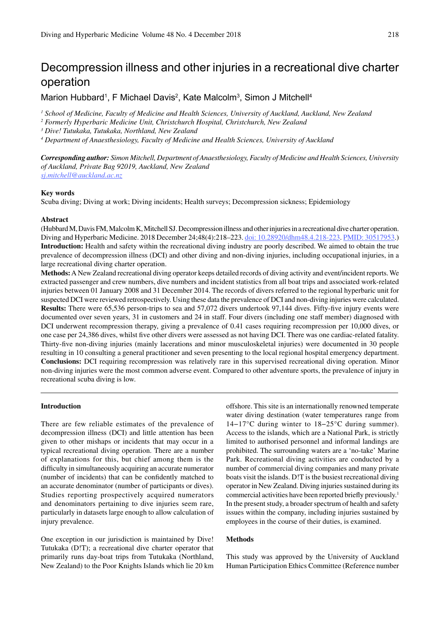# Decompression illness and other injuries in a recreational dive charter operation

Marion Hubbard<sup>1</sup>, F Michael Davis<sup>2</sup>, Kate Malcolm<sup>3</sup>, Simon J Mitchell<sup>4</sup>

*1 School of Medicine, Faculty of Medicine and Health Sciences, University of Auckland, Auckland, New Zealand*

*2 Formerly Hyperbaric Medicine Unit, Christchurch Hospital, Christchurch, New Zealand*

*3 Dive! Tutukaka, Tutukaka, Northland, New Zealand*

*4 Department of Anaesthesiology, Faculty of Medicine and Health Sciences, University of Auckland*

*Corresponding author: Simon Mitchell, Department of Anaesthesiology, Faculty of Medicine and Health Sciences, University of Auckland, Private Bag 92019, Auckland, New Zealand sj.mitchell@auckland.ac.nz*

# **Key words**

Scuba diving; Diving at work; Diving incidents; Health surveys; Decompression sickness; Epidemiology

#### **Abstract**

(Hubbard M, Davis FM, Malcolm K, Mitchell SJ. Decompression illness and other injuries in a recreational dive charter operation. Diving and Hyperbaric Medicine. 2018 December 24;48(4):218–223. doi: 10.28920/dhm48.4.218-223. PMID: 30517953.) **Introduction:** Health and safety within the recreational diving industry are poorly described. We aimed to obtain the true prevalence of decompression illness (DCI) and other diving and non-diving injuries, including occupational injuries, in a large recreational diving charter operation.

**Methods:** A New Zealand recreational diving operator keeps detailed records of diving activity and event/incident reports. We extracted passenger and crew numbers, dive numbers and incident statistics from all boat trips and associated work-related injuries between 01 January 2008 and 31 December 2014. The records of divers referred to the regional hyperbaric unit for suspected DCI were reviewed retrospectively. Using these data the prevalence of DCI and non-diving injuries were calculated. **Results:** There were 65,536 person-trips to sea and 57,072 divers undertook 97,144 dives. Fifty-five injury events were documented over seven years, 31 in customers and 24 in staff. Four divers (including one staff member) diagnosed with DCI underwent recompression therapy, giving a prevalence of 0.41 cases requiring recompression per 10,000 dives, or one case per 24,386 dives, whilst five other divers were assessed as not having DCI. There was one cardiac-related fatality. Thirty-five non-diving injuries (mainly lacerations and minor musculoskeletal injuries) were documented in 30 people resulting in 10 consulting a general practitioner and seven presenting to the local regional hospital emergency department. **Conclusions:** DCI requiring recompression was relatively rare in this supervised recreational diving operation. Minor non-diving injuries were the most common adverse event. Compared to other adventure sports, the prevalence of injury in recreational scuba diving is low.

# **Introduction**

There are few reliable estimates of the prevalence of decompression illness (DCI) and little attention has been given to other mishaps or incidents that may occur in a typical recreational diving operation. There are a number of explanations for this, but chief among them is the difficulty in simultaneously acquiring an accurate numerator (number of incidents) that can be confidently matched to an accurate denominator (number of participants or dives). Studies reporting prospectively acquired numerators and denominators pertaining to dive injuries seem rare, particularly in datasets large enough to allow calculation of injury prevalence.

One exception in our jurisdiction is maintained by Dive! Tutukaka (D!T); a recreational dive charter operator that primarily runs day-boat trips from Tutukaka (Northland, New Zealand) to the Poor Knights Islands which lie 20 km offshore. This site is an internationally renowned temperate water diving destination (water temperatures range from 14−17°C during winter to 18−25°C during summer). Access to the islands, which are a National Park, is strictly limited to authorised personnel and informal landings are prohibited. The surrounding waters are a 'no-take' Marine Park. Recreational diving activities are conducted by a number of commercial diving companies and many private boats visit the islands. D!T is the busiest recreational diving operator in New Zealand. Diving injuries sustained during its commercial activities have been reported briefly previously.1 In the present study, a broader spectrum of health and safety issues within the company, including injuries sustained by employees in the course of their duties, is examined.

# **Methods**

This study was approved by the University of Auckland Human Participation Ethics Committee (Reference number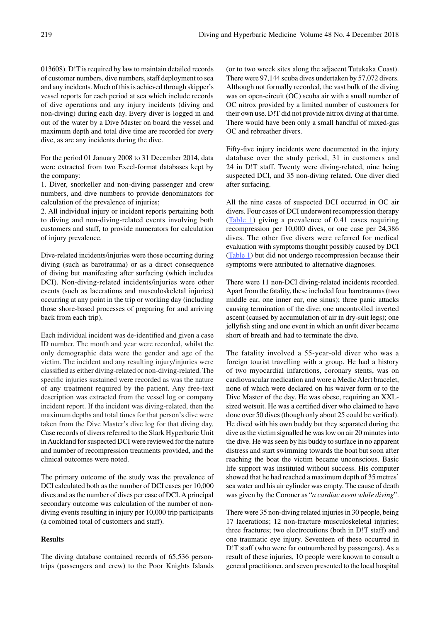013608). D!T is required by law to maintain detailed records of customer numbers, dive numbers, staff deployment to sea and any incidents. Much of this is achieved through skipper's vessel reports for each period at sea which include records of dive operations and any injury incidents (diving and non-diving) during each day. Every diver is logged in and out of the water by a Dive Master on board the vessel and maximum depth and total dive time are recorded for every dive, as are any incidents during the dive.

For the period 01 January 2008 to 31 December 2014, data were extracted from two Excel-format databases kept by the company:

1. Diver, snorkeller and non-diving passenger and crew numbers, and dive numbers to provide denominators for calculation of the prevalence of injuries;

2. All individual injury or incident reports pertaining both to diving and non-diving-related events involving both customers and staff, to provide numerators for calculation of injury prevalence.

Dive-related incidents/injuries were those occurring during diving (such as barotrauma) or as a direct consequence of diving but manifesting after surfacing (which includes DCI). Non-diving-related incidents/injuries were other events (such as lacerations and musculoskeletal injuries) occurring at any point in the trip or working day (including those shore-based processes of preparing for and arriving back from each trip).

Each individual incident was de-identified and given a case ID number. The month and year were recorded, whilst the only demographic data were the gender and age of the victim. The incident and any resulting injury/injuries were classified as either diving-related or non-diving-related. The specific injuries sustained were recorded as was the nature of any treatment required by the patient. Any free-text description was extracted from the vessel log or company incident report. If the incident was diving-related, then the maximum depths and total times for that person's dive were taken from the Dive Master's dive log for that diving day. Case records of divers referred to the Slark Hyperbaric Unit in Auckland for suspected DCI were reviewed for the nature and number of recompression treatments provided, and the clinical outcomes were noted.

The primary outcome of the study was the prevalence of DCI calculated both as the number of DCI cases per 10,000 dives and as the number of dives per case of DCI. A principal secondary outcome was calculation of the number of nondiving events resulting in injury per 10,000 trip participants (a combined total of customers and staff).

# **Results**

The diving database contained records of 65,536 persontrips (passengers and crew) to the Poor Knights Islands (or to two wreck sites along the adjacent Tutukaka Coast). There were 97,144 scuba dives undertaken by 57,072 divers. Although not formally recorded, the vast bulk of the diving was on open-circuit (OC) scuba air with a small number of OC nitrox provided by a limited number of customers for their own use. D!T did not provide nitrox diving at that time. There would have been only a small handful of mixed-gas OC and rebreather divers.

Fifty-five injury incidents were documented in the injury database over the study period, 31 in customers and 24 in D!T staff. Twenty were diving-related, nine being suspected DCI, and 35 non-diving related. One diver died after surfacing.

All the nine cases of suspected DCI occurred in OC air divers. Four cases of DCI underwent recompression therapy (Table 1) giving a prevalence of 0.41 cases requiring recompression per 10,000 dives, or one case per 24,386 dives. The other five divers were referred for medical evaluation with symptoms thought possibly caused by DCI (Table 1) but did not undergo recompression because their symptoms were attributed to alternative diagnoses.

There were 11 non-DCI diving-related incidents recorded. Apart from the fatality, these included four barotraumas (two middle ear, one inner ear, one sinus); three panic attacks causing termination of the dive; one uncontrolled inverted ascent (caused by accumulation of air in dry-suit legs); one jellyfish sting and one event in which an unfit diver became short of breath and had to terminate the dive.

The fatality involved a 55-year-old diver who was a foreign tourist travelling with a group. He had a history of two myocardial infarctions, coronary stents, was on cardiovascular medication and wore a Medic Alert bracelet, none of which were declared on his waiver form or to the Dive Master of the day. He was obese, requiring an XXLsized wetsuit. He was a certified diver who claimed to have done over 50 dives (though only about 25 could be verified). He dived with his own buddy but they separated during the dive as the victim signalled he was low on air 20 minutes into the dive. He was seen by his buddy to surface in no apparent distress and start swimming towards the boat but soon after reaching the boat the victim became unconscious. Basic life support was instituted without success. His computer showed that he had reached a maximum depth of 35 metres' sea water and his air cylinder was empty. The cause of death was given by the Coroner as "*a cardiac event while diving*".

There were 35 non-diving related injuries in 30 people, being 17 lacerations; 12 non-fracture musculoskeletal injuries; three fractures; two electrocutions (both in D!T staff) and one traumatic eye injury. Seventeen of these occurred in D!T staff (who were far outnumbered by passengers). As a result of these injuries, 10 people were known to consult a general practitioner, and seven presented to the local hospital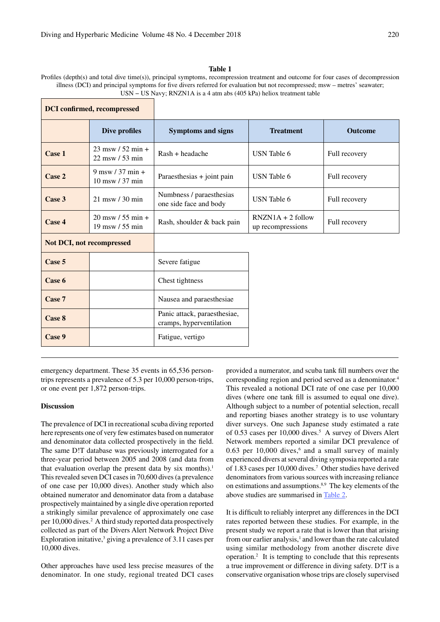# **Table 1**

Profiles (depth(s) and total dive time(s)), principal symptoms, recompression treatment and outcome for four cases of decompression illness (DCI) and principal symptoms for five divers referred for evaluation but not recompressed; msw – metres' seawater; USN − US Navy; RNZN1A is a 4 atm abs (405 kPa) heliox treatment table

| <b>DCI</b> confirmed, recompressed |                                           |                                                          |                                          |                |
|------------------------------------|-------------------------------------------|----------------------------------------------------------|------------------------------------------|----------------|
|                                    | Dive profiles                             | <b>Symptoms and signs</b>                                | <b>Treatment</b>                         | <b>Outcome</b> |
| Case 1                             | $23$ msw / 52 min +<br>$22$ msw $/53$ min | Rash + headache                                          | USN Table 6                              | Full recovery  |
| Case 2                             | 9 msw $/$ 37 min +<br>10 msw / 37 min     | Paraesthesias + joint pain                               | USN Table 6                              | Full recovery  |
| Case 3                             | $21$ msw $/30$ min                        | Numbness / paraesthesias<br>one side face and body       | <b>USN</b> Table 6                       | Full recovery  |
| Case 4                             | $20$ msw / 55 min +<br>19 msw / 55 min    | Rash, shoulder & back pain                               | $RNZN1A + 2$ follow<br>up recompressions | Full recovery  |
| <b>Not DCI, not recompressed</b>   |                                           |                                                          |                                          |                |
| Case 5                             |                                           | Severe fatigue                                           |                                          |                |
| Case 6                             |                                           | Chest tightness                                          |                                          |                |
| Case 7                             |                                           | Nausea and paraesthesiae                                 |                                          |                |
| Case 8                             |                                           | Panic attack, paraesthesiae,<br>cramps, hyperventilation |                                          |                |
| Case 9                             |                                           | Fatigue, vertigo                                         |                                          |                |

emergency department. These 35 events in 65,536 persontrips represents a prevalence of 5.3 per 10,000 person-trips, or one event per 1,872 person-trips.

#### **Discussion**

The prevalence of DCI in recreational scuba diving reported here represents one of very few estimates based on numerator and denominator data collected prospectively in the field. The same D!T database was previously interrogated for a three-year period between 2005 and 2008 (and data from that evaluation overlap the present data by six months).<sup>1</sup> This revealed seven DCI cases in 70,600 dives (a prevalence of one case per 10,000 dives). Another study which also obtained numerator and denominator data from a database prospectively maintained by a single dive operation reported a strikingly similar prevalence of approximately one case per 10,000 dives.<sup>2</sup> A third study reported data prospectively collected as part of the Divers Alert Network Project Dive Exploration initative,<sup>3</sup> giving a prevalence of 3.11 cases per 10,000 dives.

Other approaches have used less precise measures of the denominator. In one study, regional treated DCI cases provided a numerator, and scuba tank fill numbers over the corresponding region and period served as a denominator.4 This revealed a notional DCI rate of one case per 10,000 dives (where one tank fill is assumed to equal one dive). Although subject to a number of potential selection, recall and reporting biases another strategy is to use voluntary diver surveys. One such Japanese study estimated a rate of 0.53 cases per 10,000 dives.<sup>5</sup> A survey of Divers Alert Network members reported a similar DCI prevalence of  $0.63$  per  $10,000$  dives,<sup>6</sup> and a small survey of mainly experienced divers at several diving symposia reported a rate of 1.83 cases per 10,000 dives.7 Other studies have derived denominators from various sources with increasing reliance on estimations and assumptions.8,9 The key elements of the above studies are summarised in Table 2.

It is difficult to reliably interpret any differences in the DCI rates reported between these studies. For example, in the present study we report a rate that is lower than that arising from our earlier analysis,<sup>1</sup> and lower than the rate calculated using similar methodology from another discrete dive operation.2 It is tempting to conclude that this represents a true improvement or difference in diving safety. D!T is a conservative organisation whose trips are closely supervised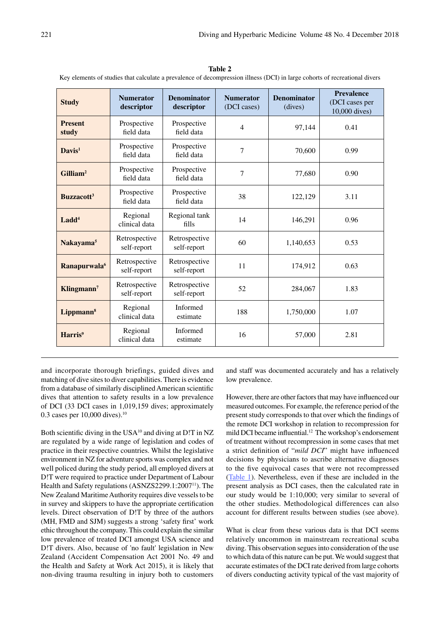| <b>Study</b>                  | <b>Numerator</b><br>descriptor | <b>Denominator</b><br>descriptor | <b>Numerator</b><br>(DCI cases) | <b>Denominator</b><br>(dives) | <b>Prevalence</b><br>(DCI cases per<br>10,000 dives) |
|-------------------------------|--------------------------------|----------------------------------|---------------------------------|-------------------------------|------------------------------------------------------|
| <b>Present</b><br>study       | Prospective<br>field data      | Prospective<br>field data        | $\overline{4}$                  | 97,144                        | 0.41                                                 |
| $Davidmathbf{Davis}^1$        | Prospective<br>field data      | Prospective<br>field data        | 7                               | 70,600                        | 0.99                                                 |
| Gilliam <sup>2</sup>          | Prospective<br>field data      | Prospective<br>field data        | 7                               | 77,680                        | 0.90                                                 |
| <b>Buzzacott</b> <sup>3</sup> | Prospective<br>field data      | Prospective<br>field data        | 38                              | 122,129                       | 3.11                                                 |
| Ladd <sup>4</sup>             | Regional<br>clinical data      | Regional tank<br>fills           | 14                              | 146,291                       | 0.96                                                 |
| Nakayama <sup>5</sup>         | Retrospective<br>self-report   | Retrospective<br>self-report     | 60                              | 1,140,653                     | 0.53                                                 |
| Ranapurwala <sup>6</sup>      | Retrospective<br>self-report   | Retrospective<br>self-report     | 11                              | 174,912                       | 0.63                                                 |
| Klingmann <sup>7</sup>        | Retrospective<br>self-report   | Retrospective<br>self-report     | 52                              | 284,067                       | 1.83                                                 |
| Lippmann <sup>8</sup>         | Regional<br>clinical data      | <b>Informed</b><br>estimate      | 188                             | 1,750,000                     | 1.07                                                 |
| Harris <sup>9</sup>           | Regional<br>clinical data      | Informed<br>estimate             | 16                              | 57,000                        | 2.81                                                 |

**Table 2** Key elements of studies that calculate a prevalence of decompression illness (DCI) in large cohorts of recreational divers

and incorporate thorough briefings, guided dives and matching of dive sites to diver capabilities. There is evidence from a database of similarly disciplined American scientific dives that attention to safety results in a low prevalence of DCI (33 DCI cases in 1,019,159 dives; approximately 0.3 cases per 10,000 dives).10

Both scientific diving in the USA10 and diving at D!T in NZ are regulated by a wide range of legislation and codes of practice in their respective countries. Whilst the legislative environment in NZ for adventure sports was complex and not well policed during the study period, all employed divers at D!T were required to practice under Department of Labour Health and Safety regulations (ASNZS2299.1:2007<sup>11</sup>). The New Zealand Maritime Authority requires dive vessels to be in survey and skippers to have the appropriate certification levels. Direct observation of D!T by three of the authors (MH, FMD and SJM) suggests a strong 'safety first' work ethic throughout the company. This could explain the similar low prevalence of treated DCI amongst USA science and D!T divers. Also, because of 'no fault' legislation in New Zealand (Accident Compensation Act 2001 No. 49 and the Health and Safety at Work Act 2015), it is likely that non-diving trauma resulting in injury both to customers and staff was documented accurately and has a relatively low prevalence.

However, there are other factors that may have influenced our measured outcomes. For example, the reference period of the present study corresponds to that over which the findings of the remote DCI workshop in relation to recompression for mild DCI became influential.12 The workshop's endorsement of treatment without recompression in some cases that met a strict definition of "*mild DCI*" might have influenced decisions by physicians to ascribe alternative diagnoses to the five equivocal cases that were not recompressed (Table 1). Nevertheless, even if these are included in the present analysis as DCI cases, then the calculated rate in our study would be 1:10,000; very similar to several of the other studies. Methodological differences can also account for different results between studies (see above).

What is clear from these various data is that DCI seems relatively uncommon in mainstream recreational scuba diving. This observation segues into consideration of the use to which data of this nature can be put. We would suggest that accurate estimates of the DCI rate derived from large cohorts of divers conducting activity typical of the vast majority of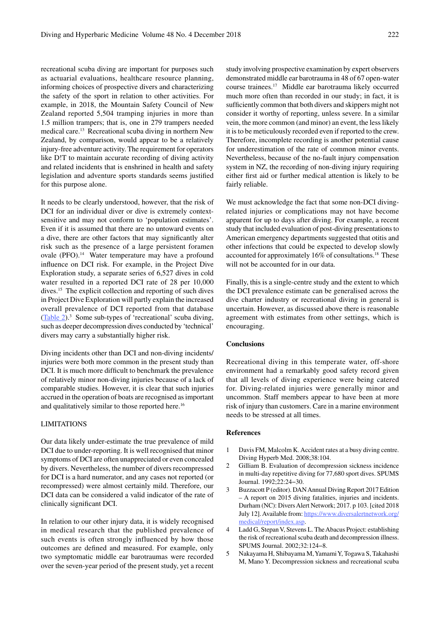recreational scuba diving are important for purposes such as actuarial evaluations, healthcare resource planning, informing choices of prospective divers and characterizing the safety of the sport in relation to other activities. For example, in 2018, the Mountain Safety Council of New Zealand reported 5,504 tramping injuries in more than 1.5 million trampers; that is, one in 279 trampers needed medical care.13 Recreational scuba diving in northern New Zealand, by comparison, would appear to be a relatively injury-free adventure activity. The requirement for operators like D!T to maintain accurate recording of diving activity and related incidents that is enshrined in health and safety legislation and adventure sports standards seems justified for this purpose alone.

It needs to be clearly understood, however, that the risk of DCI for an individual diver or dive is extremely contextsensitive and may not conform to 'population estimates'. Even if it is assumed that there are no untoward events on a dive, there are other factors that may significantly alter risk such as the presence of a large persistent foramen ovale (PFO).<sup>14</sup> Water temperature may have a profound influence on DCI risk. For example, in the Project Dive Exploration study, a separate series of 6,527 dives in cold water resulted in a reported DCI rate of 28 per 10,000 dives.15 The explicit collection and reporting of such dives in Project Dive Exploration will partly explain the increased overall prevalence of DCI reported from that database (Table 2).<sup>3</sup> Some sub-types of 'recreational' scuba diving, such as deeper decompression dives conducted by 'technical' divers may carry a substantially higher risk.

Diving incidents other than DCI and non-diving incidents/ injuries were both more common in the present study than DCI. It is much more difficult to benchmark the prevalence of relatively minor non-diving injuries because of a lack of comparable studies. However, it is clear that such injuries accrued in the operation of boats are recognised as important and qualitatively similar to those reported here.16

# LIMITATIONS

Our data likely under-estimate the true prevalence of mild DCI due to under-reporting. It is well recognised that minor symptoms of DCI are often unappreciated or even concealed by divers. Nevertheless, the number of divers recompressed for DCI is a hard numerator, and any cases not reported (or recompressed) were almost certainly mild. Therefore, our DCI data can be considered a valid indicator of the rate of clinically significant DCI.

In relation to our other injury data, it is widely recognised in medical research that the published prevalence of such events is often strongly influenced by how those outcomes are defined and measured. For example, only two symptomatic middle ear barotraumas were recorded over the seven-year period of the present study, yet a recent study involving prospective examination by expert observers demonstrated middle ear barotrauma in 48 of 67 open-water course trainees.17 Middle ear barotrauma likely occurred much more often than recorded in our study; in fact, it is sufficiently common that both divers and skippers might not consider it worthy of reporting, unless severe. In a similar vein, the more common (and minor) an event, the less likely it is to be meticulously recorded even if reported to the crew. Therefore, incomplete recording is another potential cause for underestimation of the rate of common minor events. Nevertheless, because of the no-fault injury compensation system in NZ, the recording of non-diving injury requiring either first aid or further medical attention is likely to be fairly reliable.

We must acknowledge the fact that some non-DCI divingrelated injuries or complications may not have become apparent for up to days after diving. For example, a recent study that included evaluation of post-diving presentations to American emergency departments suggested that otitis and other infections that could be expected to develop slowly accounted for approximately 16% of consultations.<sup>18</sup> These will not be accounted for in our data.

Finally, this is a single-centre study and the extent to which the DCI prevalence estimate can be generalised across the dive charter industry or recreational diving in general is uncertain. However, as discussed above there is reasonable agreement with estimates from other settings, which is encouraging.

# **Conclusions**

Recreational diving in this temperate water, off-shore environment had a remarkably good safety record given that all levels of diving experience were being catered for. Diving-related injuries were generally minor and uncommon. Staff members appear to have been at more risk of injury than customers. Care in a marine environment needs to be stressed at all times.

# **References**

- 1 Davis FM, Malcolm K. Accident rates at a busy diving centre. Diving Hyperb Med. 2008;38:104.
- 2 Gilliam B. Evaluation of decompression sickness incidence in multi-day repetitive diving for 77,680 sport dives. SPUMS Journal. 1992;22:24−30.
- 3 Buzzacott P (editor). DAN Annual Diving Report 2017 Edition – A report on 2015 diving fatalities, injuries and incidents. Durham (NC): Divers Alert Network; 2017. p 103. [cited 2018 July 12]. Available from: https://www.diversalertnetwork.org/ medical/report/index.asp.
- 4 Ladd G, Stepan V, Stevens L. The Abacus Project: establishing the risk of recreational scuba death and decompression illness. SPUMS Journal. 2002;32:124−8.
- 5 Nakayama H, Shibayama M, Yamami Y, Togawa S, Takahashi M, Mano Y. Decompression sickness and recreational scuba